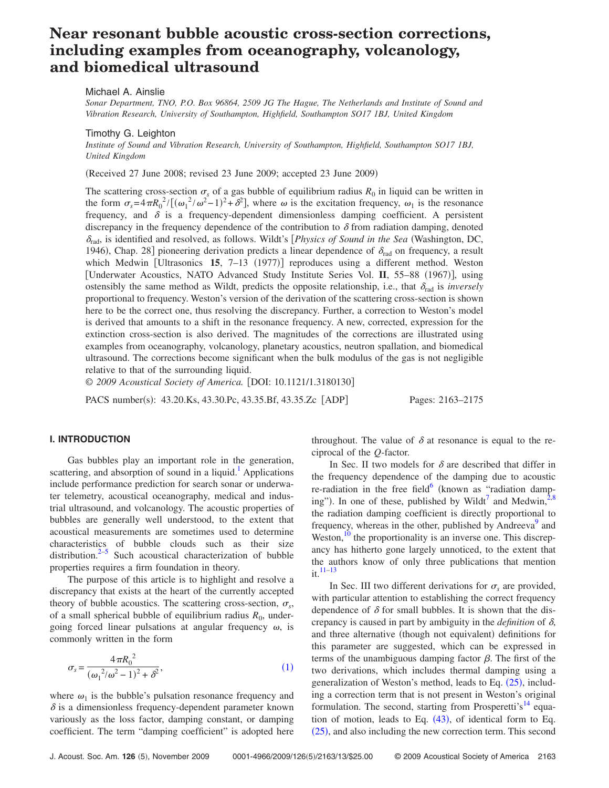# **Near resonant bubble acoustic cross-section corrections, including examples from oceanography, volcanology, and biomedical ultrasound**

Michael A. Ainslie

*Sonar Department, TNO, P.O. Box 96864, 2509 JG The Hague, The Netherlands and Institute of Sound and Vibration Research, University of Southampton, Highfield, Southampton SO17 1BJ, United Kingdom*

Timothy G. Leighton

*Institute of Sound and Vibration Research, University of Southampton, Highfield, Southampton SO17 1BJ, United Kingdom*

Received 27 June 2008; revised 23 June 2009; accepted 23 June 2009-

The scattering cross-section  $\sigma_s$  of a gas bubble of equilibrium radius  $R_0$  in liquid can be written in the form  $\sigma_s = 4\pi R_0^2 / [(\omega_1^2/\omega^2 - 1)^2 + \delta^2]$ , where  $\omega$  is the excitation frequency,  $\omega_1$  is the resonance frequency, and  $\delta$  is a frequency-dependent dimensionless damping coefficient. A persistent discrepancy in the frequency dependence of the contribution to  $\delta$  from radiation damping, denoted  $\delta_{\rm rad}$ , is identified and resolved, as follows. Wildt's *[Physics of Sound in the Sea* (Washington, DC, 1946), Chap. 28] pioneering derivation predicts a linear dependence of  $\delta_{rad}$  on frequency, a result which Medwin [Ultrasonics 15, 7-13 (1977)] reproduces using a different method. Weston [Underwater Acoustics, NATO Advanced Study Institute Series Vol. II, 55-88 (1967)], using ostensibly the same method as Wildt, predicts the opposite relationship, i.e., that  $\delta_{rad}$  is *inversely* proportional to frequency. Weston's version of the derivation of the scattering cross-section is shown here to be the correct one, thus resolving the discrepancy. Further, a correction to Weston's model is derived that amounts to a shift in the resonance frequency. A new, corrected, expression for the extinction cross-section is also derived. The magnitudes of the corrections are illustrated using examples from oceanography, volcanology, planetary acoustics, neutron spallation, and biomedical ultrasound. The corrections become significant when the bulk modulus of the gas is not negligible relative to that of the surrounding liquid.

© 2009 Acoustical Society of America. [DOI: 10.1121/1.3180130]

PACS number(s): 43.20.Ks, 43.30.Pc, 43.35.Bf, 43.35.Zc [ADP] Pages: 2163–2175

# **I. INTRODUCTION**

Gas bubbles play an important role in the generation, scattering, and absorption of sound in a liquid.<sup>1</sup> Applications include performance prediction for search sonar or underwater telemetry, acoustical oceanography, medical and industrial ultrasound, and volcanology. The acoustic properties of bubbles are generally well understood, to the extent that acoustical measurements are sometimes used to determine characteristics of bubble clouds such as their size distribution. $2-5$  $2-5$  Such acoustical characterization of bubble properties requires a firm foundation in theory.

The purpose of this article is to highlight and resolve a discrepancy that exists at the heart of the currently accepted theory of bubble acoustics. The scattering cross-section,  $\sigma_s$ , of a small spherical bubble of equilibrium radius  $R_0$ , undergoing forced linear pulsations at angular frequency  $\omega$ , is commonly written in the form

<span id="page-0-0"></span>
$$
\sigma_s = \frac{4\pi R_0^2}{(\omega_1^2/\omega^2 - 1)^2 + \delta^2},\tag{1}
$$

where  $\omega_1$  is the bubble's pulsation resonance frequency and  $\delta$  is a dimensionless frequency-dependent parameter known variously as the loss factor, damping constant, or damping coefficient. The term "damping coefficient" is adopted here throughout. The value of  $\delta$  at resonance is equal to the reciprocal of the *Q*-factor.

In Sec. II two models for  $\delta$  are described that differ in the frequency dependence of the damping due to acoustic re-radiation in the free field $\delta$  (known as "radiation damping"). In one of these, published by Wildt<sup>7</sup> and Medwin,  $2.8$ the radiation damping coefficient is directly proportional to frequency, whereas in the other, published by Andreeva<sup>9</sup> and Weston,  $^{10}$  the proportionality is an inverse one. This discrepancy has hitherto gone largely unnoticed, to the extent that the authors know of only three publications that mention it[.11–](#page-11-8)[13](#page-11-9)

In Sec. III two different derivations for  $\sigma_s$  are provided, with particular attention to establishing the correct frequency dependence of  $\delta$  for small bubbles. It is shown that the discrepancy is caused in part by ambiguity in the *definition* of  $\delta$ , and three alternative (though not equivalent) definitions for this parameter are suggested, which can be expressed in terms of the unambiguous damping factor  $\beta$ . The first of the two derivations, which includes thermal damping using a generalization of Weston's method, leads to Eq.  $(25)$  $(25)$  $(25)$ , including a correction term that is not present in Weston's original formulation. The second, starting from Prosperetti's<sup>14</sup> equation of motion, leads to Eq.  $(43)$  $(43)$  $(43)$ , of identical form to Eq. ([25](#page-3-0)), and also including the new correction term. This second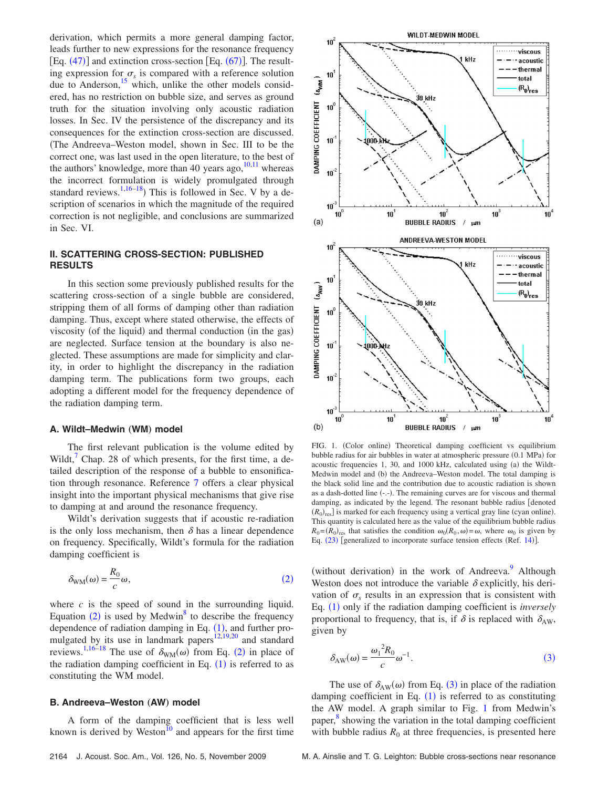derivation, which permits a more general damping factor, leads further to new expressions for the resonance frequency [Eq.  $(47)$  $(47)$  $(47)$ ] and extinction cross-section [Eq.  $(67)$  $(67)$  $(67)$ ]. The resulting expression for  $\sigma_s$  is compared with a reference solution due to Anderson, $^{15}$  which, unlike the other models considered, has no restriction on bubble size, and serves as ground truth for the situation involving only acoustic radiation losses. In Sec. IV the persistence of the discrepancy and its consequences for the extinction cross-section are discussed. The Andreeva–Weston model, shown in Sec. III to be the correct one, was last used in the open literature, to the best of the authors' knowledge, more than 40 years ago,  $10,11$  $10,11$  whereas the incorrect formulation is widely promulgated through standard reviews.  $1,16-18$  $1,16-18$  $1,16-18$ ) This is followed in Sec. V by a description of scenarios in which the magnitude of the required correction is not negligible, and conclusions are summarized in Sec. VI.

## **II. SCATTERING CROSS-SECTION: PUBLISHED RESULTS**

In this section some previously published results for the scattering cross-section of a single bubble are considered, stripping them of all forms of damping other than radiation damping. Thus, except where stated otherwise, the effects of viscosity (of the liquid) and thermal conduction (in the gas) are neglected. Surface tension at the boundary is also neglected. These assumptions are made for simplicity and clarity, in order to highlight the discrepancy in the radiation damping term. The publications form two groups, each adopting a different model for the frequency dependence of the radiation damping term.

#### **A. Wildt-Medwin (WM) model**

The first relevant publication is the volume edited by Wildt, Chap. 28 of which presents, for the first time, a detailed description of the response of a bubble to ensonification through resonance. Reference [7](#page-11-4) offers a clear physical insight into the important physical mechanisms that give rise to damping at and around the resonance frequency.

Wildt's derivation suggests that if acoustic re-radiation is the only loss mechanism, then  $\delta$  has a linear dependence on frequency. Specifically, Wildt's formula for the radiation damping coefficient is

<span id="page-1-0"></span>
$$
\delta_{\text{WM}}(\omega) = \frac{R_0}{c}\omega,\tag{2}
$$

where *c* is the speed of sound in the surrounding liquid. Equation  $(2)$  $(2)$  $(2)$  is used by Medwin<sup>8</sup> to describe the frequency dependence of radiation damping in Eq.  $(1)$  $(1)$  $(1)$ , and further promulgated by its use in landmark papers $12,19,20$  $12,19,20$  $12,19,20$  and standard reviews.<sup>1,[16–](#page-11-12)[18](#page-11-13)</sup> The use of  $\delta_{\text{WM}}(\omega)$  from Eq. ([2](#page-1-0)) in place of the radiation damping coefficient in Eq.  $(1)$  $(1)$  $(1)$  is referred to as constituting the WM model.

#### **B.** Andreeva–Weston (AW) model

A form of the damping coefficient that is less well known is derived by Weston<sup>10</sup> and appears for the first time

<span id="page-1-2"></span>

FIG. 1. (Color online) Theoretical damping coefficient vs equilibrium bubble radius for air bubbles in water at atmospheric pressure (0.1 MPa) for acoustic frequencies 1, 30, and 1000 kHz, calculated using (a) the Wildt-Medwin model and (b) the Andreeva-Weston model. The total damping is the black solid line and the contribution due to acoustic radiation is shown as a dash-dotted line (-.-). The remaining curves are for viscous and thermal damping, as indicated by the legend. The resonant bubble radius [denoted  $(R_0)_{\text{res}}$  is marked for each frequency using a vertical gray line (cyan online). This quantity is calculated here as the value of the equilibrium bubble radius  $R_0 = (R_0)_{\text{res}}$  that satisfies the condition  $\omega_0(R_0, \omega) = \omega$ , where  $\omega_0$  is given by Eq. ([23](#page-3-1)) [generalized to incorporate surface tension effects (Ref. [14](#page-11-10))].

(without derivation) in the work of Andreeva.<sup>9</sup> Although Weston does not introduce the variable  $\delta$  explicitly, his derivation of  $\sigma_s$  results in an expression that is consistent with Eq. ([1](#page-0-0)) only if the radiation damping coefficient is *inversely* proportional to frequency, that is, if  $\delta$  is replaced with  $\delta_{AW}$ , given by

<span id="page-1-1"></span>
$$
\delta_{AW}(\omega) = \frac{{\omega_1}^2 R_0}{c} \omega^{-1}.
$$
 (3)

The use of  $\delta_{AW}(\omega)$  from Eq. ([3](#page-1-1)) in place of the radiation damping coefficient in Eq.  $(1)$  $(1)$  $(1)$  is referred to as constituting the AW model. A graph similar to Fig. [1](#page-1-2) from Medwin's paper,<sup>[8](#page-11-5)</sup> showing the variation in the total damping coefficient with bubble radius  $R_0$  at three frequencies, is presented here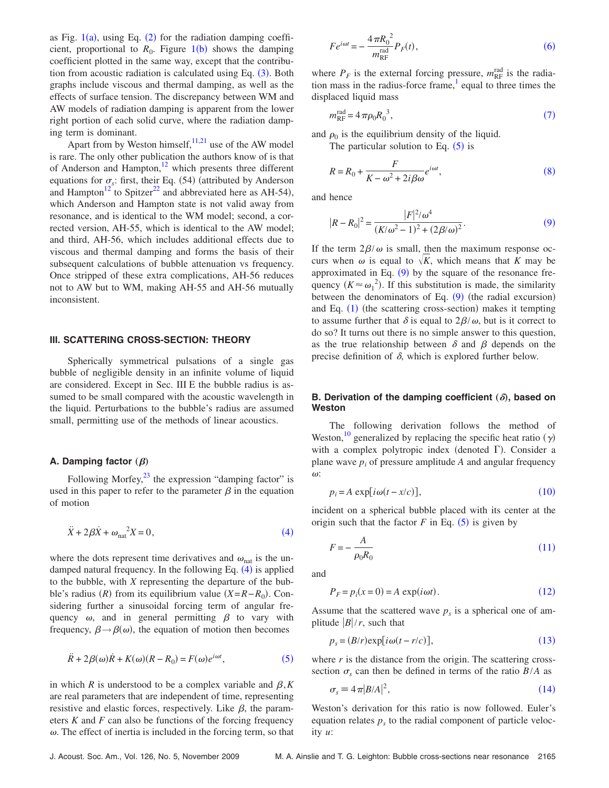as Fig.  $1(a)$  $1(a)$ , using Eq. ([2](#page-1-0)) for the radiation damping coefficient, proportional to  $R_0$ . Figure  $1(b)$  $1(b)$  shows the damping coefficient plotted in the same way, except that the contribution from acoustic radiation is calculated using Eq.  $(3)$  $(3)$  $(3)$ . Both graphs include viscous and thermal damping, as well as the effects of surface tension. The discrepancy between WM and AW models of radiation damping is apparent from the lower right portion of each solid curve, where the radiation damping term is dominant.

Apart from by Weston himself,  $11,21$  $11,21$  use of the AW model is rare. The only other publication the authors know of is that of Anderson and Hampton,<sup>12</sup> which presents three different equations for  $\sigma_s$ : first, their Eq. (54) (attributed by Anderson and Hampton<sup>12</sup> to Spitzer<sup>22</sup> and abbreviated here as AH-54), which Anderson and Hampton state is not valid away from resonance, and is identical to the WM model; second, a corrected version, AH-55, which is identical to the AW model; and third, AH-56, which includes additional effects due to viscous and thermal damping and forms the basis of their subsequent calculations of bubble attenuation vs frequency. Once stripped of these extra complications, AH-56 reduces not to AW but to WM, making AH-55 and AH-56 mutually inconsistent.

#### **III. SCATTERING CROSS-SECTION: THEORY**

Spherically symmetrical pulsations of a single gas bubble of negligible density in an infinite volume of liquid are considered. Except in Sec. III E the bubble radius is assumed to be small compared with the acoustic wavelength in the liquid. Perturbations to the bubble's radius are assumed small, permitting use of the methods of linear acoustics.

## **A. Damping factor**  $(\beta)$

Following Morfey, $^{23}$  the expression "damping factor" is used in this paper to refer to the parameter  $\beta$  in the equation of motion

<span id="page-2-0"></span>
$$
\ddot{X} + 2\beta \dot{X} + \omega_{\text{nat}}^2 X = 0,\tag{4}
$$

where the dots represent time derivatives and  $\omega_{nat}$  is the un-damped natural frequency. In the following Eq. ([4](#page-2-0)) is applied to the bubble, with *X* representing the departure of the bubble's radius *(R)* from its equilibrium value  $(X = R - R_0)$ . Considering further a sinusoidal forcing term of angular frequency  $\omega$ , and in general permitting  $\beta$  to vary with frequency,  $\beta \rightarrow \beta(\omega)$ , the equation of motion then becomes

<span id="page-2-1"></span>
$$
\ddot{R} + 2\beta(\omega)\dot{R} + K(\omega)(R - R_0) = F(\omega)e^{i\omega t},
$$
\n(5)

in which *R* is understood to be a complex variable and  $\beta$ , *K* are real parameters that are independent of time, representing resistive and elastic forces, respectively. Like  $\beta$ , the parameters *K* and *F* can also be functions of the forcing frequency  $\omega$ . The effect of inertia is included in the forcing term, so that

<span id="page-2-2"></span>
$$
Fe^{i\omega t} = -\frac{4\pi R_0^2}{m_{\text{RF}}^{\text{rad}}}P_F(t),\tag{6}
$$

where  $P_F$  is the external forcing pressure,  $m_{RF}^{\text{rad}}$  is the radiation mass in the radius-force frame, $\frac{1}{2}$  equal to three times the displaced liquid mass

<span id="page-2-3"></span>
$$
m_{\rm RF}^{\rm rad} = 4\,\pi \rho_0 R_0^3,\tag{7}
$$

<span id="page-2-4"></span>and  $\rho_0$  is the equilibrium density of the liquid.

The particular solution to Eq.  $(5)$  $(5)$  $(5)$  is

$$
R = R_0 + \frac{F}{K - \omega^2 + 2i\beta\omega}e^{i\omega t},
$$
\n(8)

<span id="page-2-5"></span>and hence

$$
|R - R_0|^2 = \frac{|F|^2 / \omega^4}{(K/\omega^2 - 1)^2 + (2\beta/\omega)^2}.
$$
 (9)

If the term  $2\beta/\omega$  is small, then the maximum response occurs when  $\omega$  is equal to  $\sqrt{K}$ , which means that *K* may be approximated in Eq.  $(9)$  $(9)$  $(9)$  by the square of the resonance frequency  $(K \approx \omega_1^2)$ . If this substitution is made, the similarity between the denominators of Eq.  $(9)$  $(9)$  $(9)$  (the radial excursion) and Eq. ([1](#page-0-0)) (the scattering cross-section) makes it tempting to assume further that  $\delta$  is equal to  $2\beta/\omega$ , but is it correct to do so? It turns out there is no simple answer to this question, as the true relationship between  $\delta$  and  $\beta$  depends on the precise definition of  $\delta$ , which is explored further below.

## B. Derivation of the damping coefficient  $(\delta)$ , based on **Weston**

The following derivation follows the method of Weston,<sup>10</sup> generalized by replacing the specific heat ratio  $(\gamma)$ with a complex polytropic index (denoted  $\Gamma$ ). Consider a plane wave  $p_i$  of pressure amplitude  $A$  and angular frequency  $\omega$ :

$$
p_i = A \exp[i\omega(t - x/c)], \qquad (10)
$$

<span id="page-2-6"></span>incident on a spherical bubble placed with its center at the origin such that the factor  $F$  in Eq.  $(5)$  $(5)$  $(5)$  is given by

<span id="page-2-7"></span>
$$
F = -\frac{A}{\rho_0 R_0} \tag{11}
$$

<span id="page-2-8"></span>and

$$
P_F = p_i(x=0) = A \exp(i\omega t). \tag{12}
$$

Assume that the scattered wave  $p<sub>s</sub>$  is a spherical one of amplitude  $|B|/r$ , such that

$$
p_s = (B/r) \exp[i\omega(t - r/c)], \qquad (13)
$$

<span id="page-2-9"></span>where  $r$  is the distance from the origin. The scattering crosssection  $\sigma_s$  can then be defined in terms of the ratio  $B/A$  as

<span id="page-2-10"></span>
$$
\sigma_s \equiv 4\pi |B/A|^2,\tag{14}
$$

Weston's derivation for this ratio is now followed. Euler's equation relates  $p<sub>s</sub>$  to the radial component of particle velocity *u*: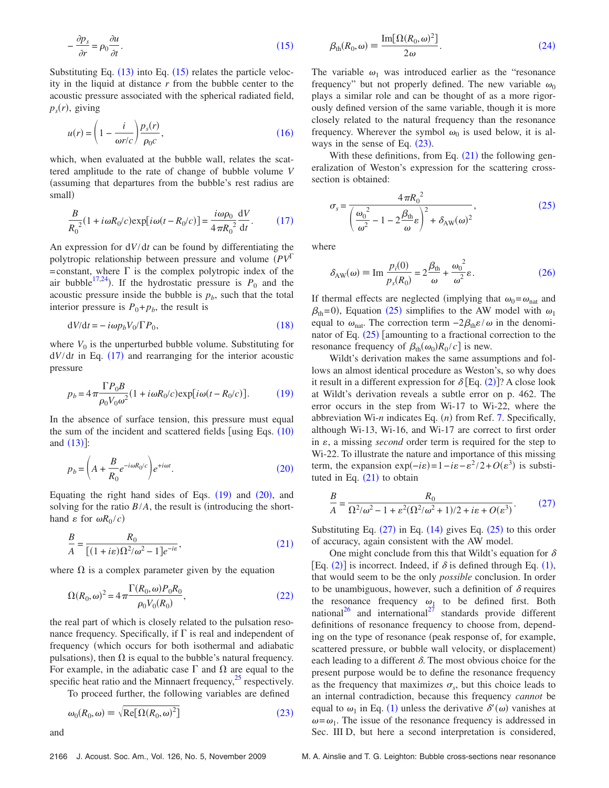<span id="page-3-2"></span>
$$
-\frac{\partial p_s}{\partial r} = \rho_0 \frac{\partial u}{\partial t}.
$$
\n(15)

Substituting Eq.  $(13)$  $(13)$  $(13)$  into Eq.  $(15)$  $(15)$  $(15)$  relates the particle velocity in the liquid at distance *r* from the bubble center to the acoustic pressure associated with the spherical radiated field,  $p_s(r)$ , giving

<span id="page-3-3"></span>
$$
u(r) = \left(1 - \frac{i}{\omega r/c}\right) \frac{p_s(r)}{\rho_0 c},\tag{16}
$$

which, when evaluated at the bubble wall, relates the scattered amplitude to the rate of change of bubble volume *V* assuming that departures from the bubble's rest radius are small)

<span id="page-3-4"></span>
$$
\frac{B}{R_0^2}(1+i\omega R_0/c)\exp[i\omega(t-R_0/c)] = \frac{i\omega\rho_0}{4\pi R_0^2}\frac{\mathrm{d}V}{\mathrm{d}t}.\tag{17}
$$

An expression for d*V*/d*t* can be found by differentiating the polytropic relationship between pressure and volume *PV* =constant, where  $\Gamma$  is the complex polytropic index of the air bubble<sup>17,[24](#page-11-21)</sup>). If the hydrostatic pressure is  $P_0$  and the acoustic pressure inside the bubble is  $p<sub>b</sub>$ , such that the total interior pressure is  $P_0 + p_b$ , the result is

$$
dV/dt = -i\omega p_b V_0 / \Gamma P_0,\tag{18}
$$

<span id="page-3-5"></span>where  $V_0$  is the unperturbed bubble volume. Substituting for  $dV/dt$  in Eq.  $(17)$  $(17)$  $(17)$  and rearranging for the interior acoustic pressure

<span id="page-3-6"></span>
$$
p_b = 4\pi \frac{\Gamma P_0 B}{\rho_0 V_0 \omega^2} (1 + i\omega R_0/c) \exp[i\omega (t - R_0/c)].
$$
 (19)

In the absence of surface tension, this pressure must equal the sum of the incident and scattered fields [using Eqs.  $(10)$  $(10)$  $(10)$ and  $(13)$  $(13)$  $(13)$ ]:

<span id="page-3-7"></span>
$$
p_b = \left(A + \frac{B}{R_0} e^{-i\omega R_0/c}\right) e^{+i\omega t}.\tag{20}
$$

Equating the right hand sides of Eqs.  $(19)$  $(19)$  $(19)$  and  $(20)$  $(20)$  $(20)$ , and solving for the ratio  $B/A$ , the result is (introducing the shorthand  $\varepsilon$  for  $\omega R_0/c$ )

<span id="page-3-8"></span>
$$
\frac{B}{A} = \frac{R_0}{[(1+i\varepsilon)\Omega^2/\omega^2 - 1]e^{-i\varepsilon}},\tag{21}
$$

<span id="page-3-9"></span>where  $\Omega$  is a complex parameter given by the equation

$$
\Omega(R_0, \omega)^2 = 4\pi \frac{\Gamma(R_0, \omega) P_0 R_0}{\rho_0 V_0(R_0)},
$$
\n(22)

the real part of which is closely related to the pulsation resonance frequency. Specifically, if  $\Gamma$  is real and independent of frequency which occurs for both isothermal and adiabatic pulsations), then  $\Omega$  is equal to the bubble's natural frequency. For example, in the adiabatic case  $\Gamma$  and  $\Omega$  are equal to the specific heat ratio and the Minnaert frequency, $^{25}$  respectively.

To proceed further, the following variables are defined

$$
\omega_0(R_0,\omega) \equiv \sqrt{\text{Re}[\Omega(R_0,\omega)^2]}
$$
 (23)

<span id="page-3-1"></span>and

<span id="page-3-10"></span>
$$
\beta_{\text{th}}(R_0, \omega) \equiv \frac{\text{Im}[\Omega(R_0, \omega)^2]}{2\omega}.
$$
\n(24)

The variable  $\omega_1$  was introduced earlier as the "resonance" frequency" but not properly defined. The new variable  $\omega_0$ plays a similar role and can be thought of as a more rigorously defined version of the same variable, though it is more closely related to the natural frequency than the resonance frequency. Wherever the symbol  $\omega_0$  is used below, it is always in the sense of Eq.  $(23)$  $(23)$  $(23)$ .

With these definitions, from Eq.  $(21)$  $(21)$  $(21)$  the following generalization of Weston's expression for the scattering crosssection is obtained:

<span id="page-3-0"></span>
$$
\sigma_s = \frac{4\pi R_0^2}{\left(\frac{\omega_0^2}{\omega^2} - 1 - 2\frac{\beta_{\text{th}}}{\omega}\varepsilon\right)^2 + \delta_{\text{AW}}(\omega)^2},\tag{25}
$$

<span id="page-3-11"></span>where

$$
\delta_{AW}(\omega) \equiv \text{Im} \, \frac{p_i(0)}{p_s(R_0)} = 2 \frac{\beta_{th}}{\omega} + \frac{\omega_0^2}{\omega^2} \varepsilon. \tag{26}
$$

If thermal effects are neglected (implying that  $\omega_0 = \omega_{nat}$  and  $\beta_{th}$ =0), Equation ([25](#page-3-0)) simplifies to the AW model with  $\omega_1$ equal to  $\omega_{\text{nat}}$ . The correction term  $-2\beta_{\text{th}}\epsilon/\omega$  in the denominator of Eq.  $(25)$  $(25)$  $(25)$  [amounting to a fractional correction to the resonance frequency of  $\beta_{\text{th}}(\omega_0) R_0 / c$  is new.

Wildt's derivation makes the same assumptions and follows an almost identical procedure as Weston's, so why does it result in a different expression for  $\delta$  [Eq. ([2](#page-1-0))]? A close look at Wildt's derivation reveals a subtle error on p. 462. The error occurs in the step from Wi-17 to Wi-22, where the abbreviation Wi-*n* indicates Eq. (*n*) from Ref. [7.](#page-11-4) Specifically, although Wi-13, Wi-16, and Wi-17 are correct to first order in  $\varepsilon$ , a missing *second* order term is required for the step to Wi-22. To illustrate the nature and importance of this missing term, the expansion  $exp(-i\varepsilon) = 1 - i\varepsilon - \varepsilon^2 / 2 + O(\varepsilon^3)$  is substituted in Eq.  $(21)$  $(21)$  $(21)$  to obtain

<span id="page-3-12"></span>
$$
\frac{B}{A} = \frac{R_0}{\Omega^2/\omega^2 - 1 + \varepsilon^2(\Omega^2/\omega^2 + 1)/2 + i\varepsilon + O(\varepsilon^3)}.\tag{27}
$$

Substituting Eq.  $(27)$  $(27)$  $(27)$  in Eq.  $(14)$  $(14)$  $(14)$  gives Eq.  $(25)$  $(25)$  $(25)$  to this order of accuracy, again consistent with the AW model.

One might conclude from this that Wildt's equation for  $\delta$ [Eq.  $(2)$  $(2)$  $(2)$ ] is incorrect. Indeed, if  $\delta$  is defined through Eq.  $(1)$  $(1)$  $(1)$ , that would seem to be the only *possible* conclusion. In order to be unambiguous, however, such a definition of  $\delta$  requires the resonance frequency  $\omega_1$  to be defined first. Both national<sup>26</sup> and international<sup>27</sup> standards provide different definitions of resonance frequency to choose from, depending on the type of resonance (peak response of, for example, scattered pressure, or bubble wall velocity, or displacement) each leading to a different  $\delta$ . The most obvious choice for the present purpose would be to define the resonance frequency as the frequency that maximizes  $\sigma_s$ , but this choice leads to an internal contradiction, because this frequency *cannot* be equal to  $\omega_1$  $\omega_1$  in Eq. (1) unless the derivative  $\delta'(\omega)$  vanishes at  $\omega = \omega_1$ . The issue of the resonance frequency is addressed in Sec. III D, but here a second interpretation is considered,

2166 J. Acoust. Soc. Am., Vol. 126, No. 5, November 2009 M. A. Ainslie and T. G. Leighton: Bubble cross-sections near resonance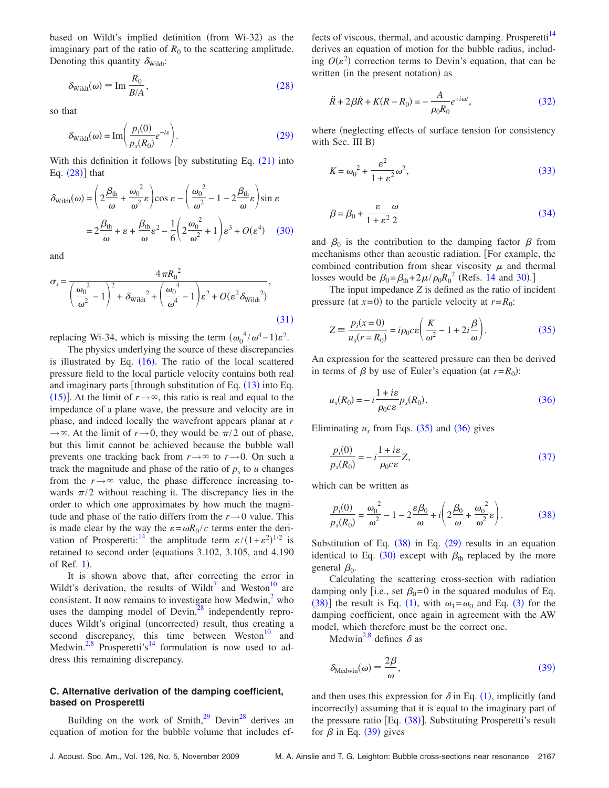based on Wildt's implied definition (from Wi-32) as the imaginary part of the ratio of  $R_0$  to the scattering amplitude. Denoting this quantity  $\delta_{\text{Width}}$ :

<span id="page-4-0"></span>
$$
\delta_{\text{Width}}(\omega) \equiv \text{Im} \, \frac{R_0}{B/A},\tag{28}
$$

<span id="page-4-1"></span>so that

$$
\delta_{\text{Width}}(\omega) = \text{Im}\left(\frac{p_i(0)}{p_s(R_0)}e^{-ie}\right). \tag{29}
$$

With this definition it follows [by substituting Eq.  $(21)$  $(21)$  $(21)$  into Eq.  $(28)$  $(28)$  $(28)$ ] that

<span id="page-4-2"></span>
$$
\delta_{\text{Width}}(\omega) = \left(2\frac{\beta_{\text{th}}}{\omega} + \frac{\omega_0^2}{\omega^2}\varepsilon\right)\cos\varepsilon - \left(\frac{\omega_0^2}{\omega^2} - 1 - 2\frac{\beta_{\text{th}}}{\omega}\varepsilon\right)\sin\varepsilon
$$

$$
= 2\frac{\beta_{\text{th}}}{\omega} + \varepsilon + \frac{\beta_{\text{th}}}{\omega}\varepsilon^2 - \frac{1}{6}\left(2\frac{\omega_0^2}{\omega^2} + 1\right)\varepsilon^3 + O(\varepsilon^4) \quad (30)
$$

and

<span id="page-4-3"></span>
$$
\sigma_s = \frac{4\pi R_0^2}{\left(\frac{\omega_0^2}{\omega^2} - 1\right)^2 + \delta_{\text{Wildt}}^2 + \left(\frac{\omega_0^4}{\omega^4} - 1\right) \varepsilon^2 + O(\varepsilon^2 \delta_{\text{Wildt}}^2)},
$$
\n(31)

replacing Wi-34, which is missing the term  $(\omega_0^4 / \omega^4 - 1)\varepsilon^2$ .

The physics underlying the source of these discrepancies is illustrated by Eq.  $(16)$  $(16)$  $(16)$ . The ratio of the local scattered pressure field to the local particle velocity contains both real and imaginary parts [through substitution of Eq.  $(13)$  $(13)$  $(13)$  into Eq. ([15](#page-3-2))]. At the limit of  $r \rightarrow \infty$ , this ratio is real and equal to the impedance of a plane wave, the pressure and velocity are in phase, and indeed locally the wavefront appears planar at *r*  $\rightarrow \infty$ . At the limit of  $r \rightarrow 0$ , they would be  $\pi/2$  out of phase, but this limit cannot be achieved because the bubble wall prevents one tracking back from  $r \rightarrow \infty$  to  $r \rightarrow 0$ . On such a track the magnitude and phase of the ratio of  $p_s$  to  $u$  changes from the  $r \rightarrow \infty$  value, the phase difference increasing towards  $\pi/2$  without reaching it. The discrepancy lies in the order to which one approximates by how much the magnitude and phase of the ratio differs from the  $r \rightarrow 0$  value. This is made clear by the way the  $\varepsilon = \omega R_0 / c$  terms enter the derivation of Prosperetti:<sup>14</sup> the amplitude term  $\varepsilon/(1+\varepsilon^2)^{1/2}$  is retained to second order (equations 3.102, 3.105, and 4.190) of Ref. [1](#page-11-0)).

It is shown above that, after correcting the error in Wildt's derivation, the results of Wildt<sup>7</sup> and Weston<sup>10</sup> are consistent. It now remains to investigate how Medwin, $<sup>2</sup>$  who</sup> uses the damping model of Devin, $28$  independently reproduces Wildt's original (uncorrected) result, thus creating a second discrepancy, this time between Weston $10$  and Medwin.<sup>2[,8](#page-11-5)</sup> Prosperetti's<sup>14</sup> formulation is now used to address this remaining discrepancy.

### **C. Alternative derivation of the damping coefficient, based on Prosperetti**

Building on the work of Smith, $^{29}$  Devin<sup>28</sup> derives an equation of motion for the bubble volume that includes effects of viscous, thermal, and acoustic damping. Prosperetti<sup>14</sup> derives an equation of motion for the bubble radius, including  $O(\varepsilon^2)$  correction terms to Devin's equation, that can be written (in the present notation) as

<span id="page-4-4"></span>
$$
\ddot{R} + 2\beta \dot{R} + K(R - R_0) = -\frac{A}{\rho_0 R_0} e^{+i\omega t},
$$
\n(32)

where (neglecting effects of surface tension for consistency with Sec. III B)

<span id="page-4-5"></span>
$$
K = \omega_0^2 + \frac{\varepsilon^2}{1 + \varepsilon^2} \omega^2,\tag{33}
$$

<span id="page-4-6"></span>
$$
\beta = \beta_0 + \frac{\varepsilon}{1 + \varepsilon^2} \frac{\omega}{2}
$$
\n(34)

and  $\beta_0$  is the contribution to the damping factor  $\beta$  from mechanisms other than acoustic radiation. For example, the combined contribution from shear viscosity  $\mu$  and thermal losses would be  $\beta_0 = \beta_{\text{th}} + 2\mu/\rho_0 R_0^2$  (Refs. [14](#page-11-10) and [30](#page-11-27)).]

The input impedance *Z* is defined as the ratio of incident pressure (at  $x=0$ ) to the particle velocity at  $r=R_0$ :

<span id="page-4-7"></span>
$$
Z = \frac{p_i(x=0)}{u_s(r=R_0)} = i\rho_0 c \varepsilon \left(\frac{K}{\omega^2} - 1 + 2i\frac{\beta}{\omega}\right).
$$
 (35)

An expression for the scattered pressure can then be derived in terms of  $\beta$  by use of Euler's equation (at  $r = R_0$ ):

<span id="page-4-8"></span>
$$
u_s(R_0) = -i \frac{1 + i\varepsilon}{\rho_0 c \varepsilon} p_s(R_0).
$$
 (36)

<span id="page-4-9"></span>Eliminating  $u_s$  from Eqs. ([35](#page-4-7)) and ([36](#page-4-8)) gives

$$
\frac{p_i(0)}{p_s(R_0)} = -i \frac{1+i\varepsilon}{\rho_0 c\varepsilon} Z,\tag{37}
$$

<span id="page-4-10"></span>which can be written as

$$
\frac{p_i(0)}{p_s(R_0)} = \frac{\omega_0^2}{\omega^2} - 1 - 2\frac{\varepsilon\beta_0}{\omega} + i\left(2\frac{\beta_0}{\omega} + \frac{\omega_0^2}{\omega^2}\varepsilon\right).
$$
(38)

Substitution of Eq.  $(38)$  $(38)$  $(38)$  in Eq.  $(29)$  $(29)$  $(29)$  results in an equation identical to Eq. ([30](#page-4-2)) except with  $\beta_{\text{th}}$  replaced by the more general  $\beta_0$ .

Calculating the scattering cross-section with radiation damping only [i.e., set  $\beta_0=0$  in the squared modulus of Eq. ([38](#page-4-10))] the result is Eq. ([1](#page-0-0)), with  $\omega_1 = \omega_0$  and Eq. ([3](#page-1-1)) for the damping coefficient, once again in agreement with the AW model, which therefore must be the correct one.

Medwin<sup>2[,8](#page-11-5)</sup> defines  $\delta$  as

<span id="page-4-11"></span>
$$
\delta_{\text{Medwin}}(\omega) \equiv \frac{2\beta}{\omega},\tag{39}
$$

and then uses this expression for  $\delta$  in Eq. ([1](#page-0-0)), implicitly (and incorrectly) assuming that it is equal to the imaginary part of the pressure ratio [Eq. ([38](#page-4-10))]. Substituting Prosperetti's result for  $\beta$  in Eq. ([39](#page-4-11)) gives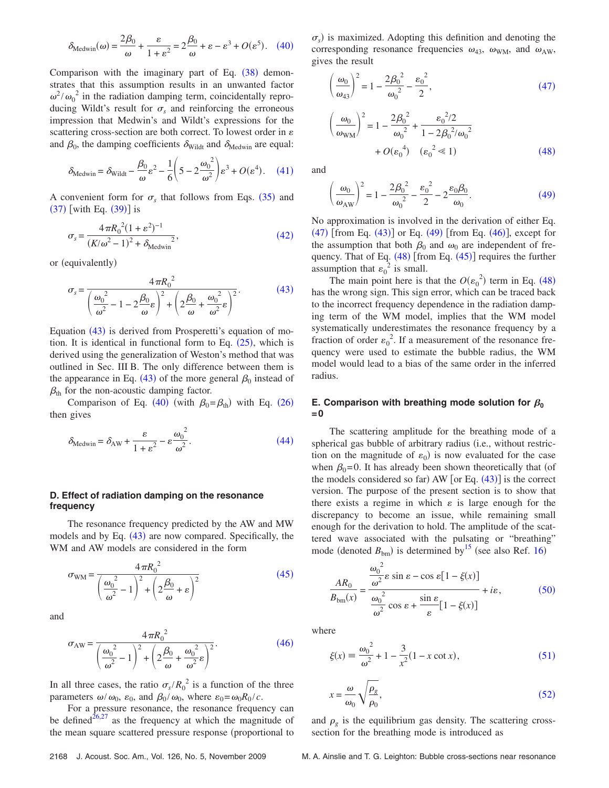<span id="page-5-2"></span>
$$
\delta_{\text{Medwin}}(\omega) = \frac{2\beta_0}{\omega} + \frac{\varepsilon}{1 + \varepsilon^2} = 2\frac{\beta_0}{\omega} + \varepsilon - \varepsilon^3 + O(\varepsilon^5). \quad (40)
$$

Comparison with the imaginary part of Eq.  $(38)$  $(38)$  $(38)$  demonstrates that this assumption results in an unwanted factor  $\omega^2 / \omega_0^2$  in the radiation damping term, coincidentally reproducing Wildt's result for  $\sigma_s$  and reinforcing the erroneous impression that Medwin's and Wildt's expressions for the scattering cross-section are both correct. To lowest order in  $\varepsilon$ and  $\beta_0$ , the damping coefficients  $\delta_{\text{Width}}$  and  $\delta_{\text{Median}}$  are equal:

<span id="page-5-3"></span>
$$
\delta_{\text{Medwin}} = \delta_{\text{Width}} - \frac{\beta_0}{\omega} \varepsilon^2 - \frac{1}{6} \left( 5 - 2 \frac{\omega_0^2}{\omega^2} \right) \varepsilon^3 + O(\varepsilon^4). \quad (41)
$$

A convenient form for  $\sigma_s$  that follows from Eqs. ([35](#page-4-7)) and  $(37)$  $(37)$  $(37)$  [with Eq.  $(39)$  $(39)$  $(39)$ ] is

<span id="page-5-4"></span>
$$
\sigma_s = \frac{4\pi R_0^2 (1 + \varepsilon^2)^{-1}}{(K/\omega^2 - 1)^2 + \delta_{\text{Medwin}}^2},\tag{42}
$$

<span id="page-5-0"></span>or (equivalently)

$$
\sigma_s = \frac{4\pi R_0^2}{\left(\frac{\omega_0^2}{\omega^2} - 1 - 2\frac{\beta_0}{\omega}\varepsilon\right)^2 + \left(2\frac{\beta_0}{\omega} + \frac{\omega_0^2}{\omega^2}\varepsilon\right)^2}.
$$
(43)

Equation ([43](#page-5-0)) is derived from Prosperetti's equation of motion. It is identical in functional form to Eq.  $(25)$  $(25)$  $(25)$ , which is derived using the generalization of Weston's method that was outlined in Sec. III B. The only difference between them is the appearance in Eq. ([43](#page-5-0)) of the more general  $\beta_0$  instead of  $\beta_{\text{th}}$  for the non-acoustic damping factor.

Comparison of Eq. ([40](#page-5-2)) (with  $\beta_0 = \beta_{th}$ ) with Eq. ([26](#page-3-11)) then gives

<span id="page-5-5"></span>
$$
\delta_{\text{Medwin}} = \delta_{\text{AW}} + \frac{\varepsilon}{1 + \varepsilon^2} - \varepsilon \frac{{\omega_0}^2}{\omega^2}.
$$
 (44)

#### **D. Effect of radiation damping on the resonance frequency**

The resonance frequency predicted by the AW and MW models and by Eq. ([43](#page-5-0)) are now compared. Specifically, the WM and AW models are considered in the form

<span id="page-5-6"></span>
$$
\sigma_{\text{WM}} = \frac{4\pi R_0^2}{\left(\frac{\omega_0^2}{\omega^2} - 1\right)^2 + \left(2\frac{\beta_0}{\omega} + \varepsilon\right)^2}
$$
(45)

<span id="page-5-7"></span>and

$$
\sigma_{AW} = \frac{4\pi R_0^2}{\left(\frac{\omega_0^2}{\omega^2} - 1\right)^2 + \left(2\frac{\beta_0}{\omega} + \frac{\omega_0^2}{\omega^2}\varepsilon\right)^2}.
$$
\n(46)

In all three cases, the ratio  $\sigma_s/R_0^2$  is a function of the three parameters  $\omega/\omega_0$ ,  $\varepsilon_0$ , and  $\beta_0/\omega_0$ , where  $\varepsilon_0 = \omega_0 R_0 / c$ .

For a pressure resonance, the resonance frequency can be defined<sup>26,[27](#page-11-24)</sup> as the frequency at which the magnitude of the mean square scattered pressure response (proportional to

 $\sigma_s$ ) is maximized. Adopting this definition and denoting the corresponding resonance frequencies  $\omega_{43}$ ,  $\omega_{\text{WM}}$ , and  $\omega_{\text{AW}}$ , gives the result

<span id="page-5-1"></span>
$$
\left(\frac{\omega_0}{\omega_{43}}\right)^2 = 1 - \frac{2\beta_0^2}{\omega_0^2} - \frac{\varepsilon_0^2}{2},\tag{47}
$$

<span id="page-5-8"></span>
$$
\left(\frac{\omega_0}{\omega_{\text{WM}}}\right)^2 = 1 - \frac{2\beta_0^2}{\omega_0^2} + \frac{\varepsilon_0^2/2}{1 - 2\beta_0^2/\omega_0^2} + O(\varepsilon_0^4) \quad (\varepsilon_0^2 \ll 1)
$$
\n(48)

<span id="page-5-9"></span>and

$$
\left(\frac{\omega_0}{\omega_{AW}}\right)^2 = 1 - \frac{2\beta_0^2}{\omega_0^2} - \frac{\varepsilon_0^2}{2} - 2\frac{\varepsilon_0\beta_0}{\omega_0}.
$$
 (49)

No approximation is involved in the derivation of either Eq.  $(47)$  $(47)$  $(47)$  [from Eq.  $(43)$  $(43)$  $(43)$ ] or Eq.  $(49)$  $(49)$  $(49)$  [from Eq.  $(46)$  $(46)$  $(46)$ ], except for the assumption that both  $\beta_0$  and  $\omega_0$  are independent of frequency. That of Eq.  $(48)$  $(48)$  $(48)$  [from Eq.  $(45)$  $(45)$  $(45)$ ] requires the further assumption that  $\varepsilon_0^2$  is small.

The main point here is that the  $O(\epsilon_0^2)$  term in Eq. ([48](#page-5-8)) has the wrong sign. This sign error, which can be traced back to the incorrect frequency dependence in the radiation damping term of the WM model, implies that the WM model systematically underestimates the resonance frequency by a fraction of order  $\varepsilon_0^2$ . If a measurement of the resonance frequency were used to estimate the bubble radius, the WM model would lead to a bias of the same order in the inferred radius.

## **E. Comparison with breathing mode solution for**  $\beta_0$ **=0**

The scattering amplitude for the breathing mode of a spherical gas bubble of arbitrary radius (i.e., without restriction on the magnitude of  $\varepsilon_0$ ) is now evaluated for the case when  $\beta_0=0$ . It has already been shown theoretically that (of the models considered so far) AW  $[$  or Eq.  $(43)$  $(43)$  $(43)$  $]$  is the correct version. The purpose of the present section is to show that there exists a regime in which  $\varepsilon$  is large enough for the discrepancy to become an issue, while remaining small enough for the derivation to hold. The amplitude of the scattered wave associated with the pulsating or "breathing" mode (denoted  $B_{bm}$ ) is determined by<sup>15</sup> (see also Ref. [16](#page-11-12))

<span id="page-5-10"></span>
$$
\frac{AR_0}{B_{\text{bm}}(x)} = \frac{\frac{\omega_0^2}{\omega^2} \varepsilon \sin \varepsilon - \cos \varepsilon [1 - \xi(x)]}{\frac{\omega_0^2}{\omega^2} \cos \varepsilon + \frac{\sin \varepsilon}{\varepsilon} [1 - \xi(x)]} + i\varepsilon,
$$
(50)

<span id="page-5-11"></span>where

$$
\xi(x) \equiv \frac{\omega_0^2}{\omega^2} + 1 - \frac{3}{x^2} (1 - x \cot x),
$$
 (51)

<span id="page-5-12"></span>
$$
x = \frac{\omega}{\omega_0} \sqrt{\frac{\rho_g}{\rho_0}},\tag{52}
$$

and  $\rho_g$  is the equilibrium gas density. The scattering crosssection for the breathing mode is introduced as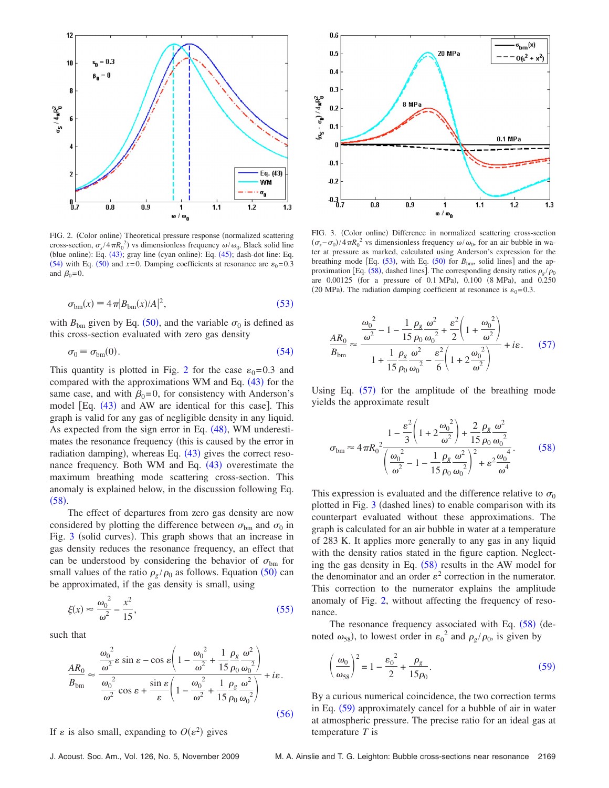<span id="page-6-2"></span>

FIG. 2. (Color online) Theoretical pressure response (normalized scattering cross-section,  $\sigma_s / 4 \pi R_0^2$ ) vs dimensionless frequency  $\omega / \omega_0$ . Black solid line (blue online): Eq.  $(43)$  $(43)$  $(43)$ ; gray line (cyan online): Eq.  $(45)$  $(45)$  $(45)$ ; dash-dot line: Eq. ([54](#page-6-1)) with Eq. ([50](#page-5-10)) and  $x=0$ . Damping coefficients at resonance are  $\varepsilon_0=0.3$ and  $B_0=0$ .

$$
\sigma_{\rm bm}(x) \equiv 4\pi |B_{\rm bm}(x)/A|^2,\tag{53}
$$

<span id="page-6-0"></span>with  $B_{bm}$  given by Eq. ([50](#page-5-10)), and the variable  $\sigma_0$  is defined as this cross-section evaluated with zero gas density

$$
\sigma_0 \equiv \sigma_{bm}(0). \tag{54}
$$

<span id="page-6-1"></span>This quantity is plotted in Fig. [2](#page-6-2) for the case  $\varepsilon_0=0.3$  and compared with the approximations WM and Eq.  $(43)$  $(43)$  $(43)$  for the same case, and with  $\beta_0=0$ , for consistency with Anderson's model [Eq. ([43](#page-5-0)) and AW are identical for this case]. This graph is valid for any gas of negligible density in any liquid. As expected from the sign error in Eq.  $(48)$  $(48)$  $(48)$ , WM underestimates the resonance frequency (this is caused by the error in radiation damping), whereas Eq. ([43](#page-5-0)) gives the correct resonance frequency. Both WM and Eq.  $(43)$  $(43)$  $(43)$  overestimate the maximum breathing mode scattering cross-section. This anomaly is explained below, in the discussion following Eq.  $(58).$  $(58).$  $(58).$ 

The effect of departures from zero gas density are now considered by plotting the difference between  $\sigma_{bm}$  and  $\sigma_0$  in Fig. [3](#page-6-4) (solid curves). This graph shows that an increase in gas density reduces the resonance frequency, an effect that can be understood by considering the behavior of  $\sigma_{bm}$  for small values of the ratio  $\rho_g / \rho_0$  as follows. Equation ([50](#page-5-10)) can be approximated, if the gas density is small, using

<span id="page-6-5"></span>
$$
\xi(x) \approx \frac{\omega_0^2}{\omega^2} - \frac{x^2}{15},\tag{55}
$$

<span id="page-6-6"></span>such that

$$
\frac{AR_0}{B_{\text{bm}}} \approx \frac{\frac{\omega_0^2}{\omega^2} \varepsilon \sin \varepsilon - \cos \varepsilon \left( 1 - \frac{\omega_0^2}{\omega^2} + \frac{1}{15} \frac{\rho_{\text{g}} \omega^2}{\rho_0 \omega_0^2} \right)}{\frac{\omega_0^2}{\omega^2} \cos \varepsilon + \frac{\sin \varepsilon}{\varepsilon} \left( 1 - \frac{\omega_0^2}{\omega^2} + \frac{1}{15} \frac{\rho_{\text{g}} \omega^2}{\rho_0 \omega_0^2} \right)} + i\varepsilon.
$$
\n(56)

If  $\varepsilon$  is also small, expanding to  $O(\varepsilon^2)$  gives

<span id="page-6-4"></span>

FIG. 3. (Color online) Difference in normalized scattering cross-section  $(\sigma_s - \sigma_0)/4\pi R_0^2$  vs dimensionless frequency  $\omega/\omega_0$ , for an air bubble in water at pressure as marked, calculated using Anderson's expression for the breathing mode [Eq.  $(53)$  $(53)$  $(53)$ , with Eq.  $(50)$  $(50)$  $(50)$  for  $B_{bm}$ , solid lines] and the approximation [Eq.  $(58)$  $(58)$  $(58)$ , dashed lines]. The corresponding density ratios  $\rho_g / \rho_0$ are 0.00125 (for a pressure of 0.1 MPa), 0.100 (8 MPa), and 0.250 (20 MPa). The radiation damping coefficient at resonance is  $\varepsilon_0$ =0.3.

<span id="page-6-7"></span>
$$
\frac{AR_0}{B_{\text{bm}}} \approx \frac{\frac{\omega_0^2}{\omega^2} - 1 - \frac{1}{15} \frac{\rho_g}{\rho_0} \frac{\omega^2}{\omega_0^2} + \frac{\varepsilon^2}{2} \left( 1 + \frac{\omega_0^2}{\omega^2} \right)}{1 + \frac{1}{15} \frac{\rho_g}{\rho_0} \frac{\omega^2}{\omega_0^2} - \frac{\varepsilon^2}{6} \left( 1 + 2 \frac{\omega_0^2}{\omega^2} \right)} + i\varepsilon. \tag{57}
$$

Using Eq.  $(57)$  $(57)$  $(57)$  for the amplitude of the breathing mode yields the approximate result

<span id="page-6-3"></span>
$$
\sigma_{\text{bm}} \approx 4 \pi R_0^2 \frac{1 - \frac{\varepsilon^2}{3} \left( 1 + 2 \frac{\omega_0^2}{\omega^2} \right) + \frac{2}{15} \frac{\rho_g}{\rho_0} \frac{\omega^2}{\omega_0^2}}{\left( \frac{\omega_0^2}{\omega^2} - 1 - \frac{1}{15} \frac{\rho_g}{\rho_0} \frac{\omega^2}{\omega_0^2} \right)^2 + \varepsilon^2 \frac{\omega_0^4}{\omega^4}}.
$$
 (58)

This expression is evaluated and the difference relative to  $\sigma_0$ plotted in Fig. [3](#page-6-4) (dashed lines) to enable comparison with its counterpart evaluated without these approximations. The graph is calculated for an air bubble in water at a temperature of 283 K. It applies more generally to any gas in any liquid with the density ratios stated in the figure caption. Neglecting the gas density in Eq.  $(58)$  $(58)$  $(58)$  results in the AW model for the denominator and an order  $\varepsilon^2$  correction in the numerator. This correction to the numerator explains the amplitude anomaly of Fig. [2,](#page-6-2) without affecting the frequency of resonance.

The resonance frequency associated with Eq.  $(58)$  $(58)$  $(58)$  (denoted  $\omega_{58}$ ), to lowest order in  $\varepsilon_0^2$  and  $\rho_g/\rho_0$ , is given by

<span id="page-6-8"></span>
$$
\left(\frac{\omega_0}{\omega_{58}}\right)^2 = 1 - \frac{\varepsilon_0^2}{2} + \frac{\rho_g}{15\rho_0}.\tag{59}
$$

By a curious numerical coincidence, the two correction terms in Eq. ([59](#page-6-8)) approximately cancel for a bubble of air in water at atmospheric pressure. The precise ratio for an ideal gas at temperature *T* is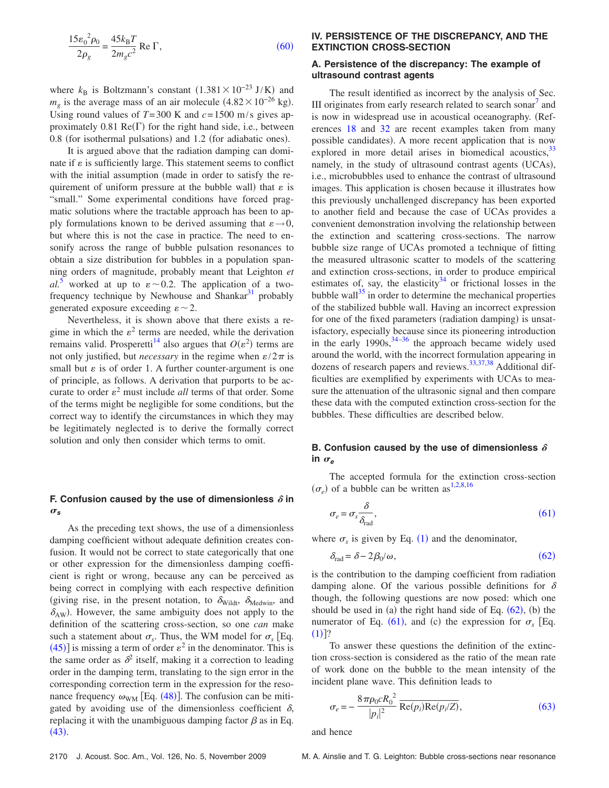<span id="page-7-0"></span>
$$
\frac{15\varepsilon_0^2 \rho_0}{2\rho_g} = \frac{45k_\text{B}T}{2m_g c^2} \text{ Re } \Gamma,\tag{60}
$$

where  $k_B$  is Boltzmann's constant  $(1.381 \times 10^{-23} \text{ J/K})$  and  $m_g$  is the average mass of an air molecule  $(4.82 \times 10^{-26} \text{ kg})$ . Using round values of  $T=300$  K and  $c=1500$  m/s gives approximately  $0.81 \text{ Re}(\Gamma)$  for the right hand side, i.e., between 0.8 (for isothermal pulsations) and 1.2 (for adiabatic ones).

It is argued above that the radiation damping can dominate if  $\varepsilon$  is sufficiently large. This statement seems to conflict with the initial assumption (made in order to satisfy the requirement of uniform pressure at the bubble wall) that  $\varepsilon$  is "small." Some experimental conditions have forced pragmatic solutions where the tractable approach has been to apply formulations known to be derived assuming that  $\varepsilon \rightarrow 0$ , but where this is not the case in practice. The need to ensonify across the range of bubble pulsation resonances to obtain a size distribution for bubbles in a population spanning orders of magnitude, probably meant that Leighton *et*  $al^5$  $al^5$  worked at up to  $\varepsilon \sim 0.2$ . The application of a twofrequency technique by Newhouse and Shankar $31$  probably generated exposure exceeding  $\varepsilon \sim 2$ .

Nevertheless, it is shown above that there exists a regime in which the  $\varepsilon^2$  terms are needed, while the derivation remains valid. Prosperetti<sup>14</sup> also argues that  $O(\varepsilon^2)$  terms are not only justified, but *necessary* in the regime when  $\varepsilon/2\pi$  is small but  $\varepsilon$  is of order 1. A further counter-argument is one of principle, as follows. A derivation that purports to be accurate to order  $\varepsilon^2$  must include *all* terms of that order. Some of the terms might be negligible for some conditions, but the correct way to identify the circumstances in which they may be legitimately neglected is to derive the formally correct solution and only then consider which terms to omit.

## F. Confusion caused by the use of dimensionless  $\delta$  in  $\sigma_s$

As the preceding text shows, the use of a dimensionless damping coefficient without adequate definition creates confusion. It would not be correct to state categorically that one or other expression for the dimensionless damping coefficient is right or wrong, because any can be perceived as being correct in complying with each respective definition (giving rise, in the present notation, to  $\delta_{\text{Width}}$ ,  $\delta_{\text{Medwin}}$ , and  $\delta_{AW}$ ). However, the same ambiguity does not apply to the definition of the scattering cross-section, so one *can* make such a statement about  $\sigma_s$ . Thus, the WM model for  $\sigma_s$  [Eq. ([45](#page-5-6))] is missing a term of order  $\varepsilon^2$  in the denominator. This is the same order as  $\delta^2$  itself, making it a correction to leading order in the damping term, translating to the sign error in the corresponding correction term in the expression for the resonance frequency  $\omega_{WM}$  [Eq. ([48](#page-5-8))]. The confusion can be mitigated by avoiding use of the dimensionless coefficient  $\delta$ , replacing it with the unambiguous damping factor  $\beta$  as in Eq.  $(43).$  $(43).$  $(43).$ 

#### **IV. PERSISTENCE OF THE DISCREPANCY, AND THE EXTINCTION CROSS-SECTION**

## **A. Persistence of the discrepancy: The example of ultrasound contrast agents**

The result identified as incorrect by the analysis of Sec. III originates from early research related to search sonar<sup>'</sup> and is now in widespread use in acoustical oceanography. (References [18](#page-11-13) and [32](#page-11-29) are recent examples taken from many possible candidates). A more recent application that is now explored in more detail arises in biomedical acoustics,  $33$ namely, in the study of ultrasound contrast agents (UCAs), i.e., microbubbles used to enhance the contrast of ultrasound images. This application is chosen because it illustrates how this previously unchallenged discrepancy has been exported to another field and because the case of UCAs provides a convenient demonstration involving the relationship between the extinction and scattering cross-sections. The narrow bubble size range of UCAs promoted a technique of fitting the measured ultrasonic scatter to models of the scattering and extinction cross-sections, in order to produce empirical estimates of, say, the elasticity $34$  or frictional losses in the bubble wall $^{35}$  in order to determine the mechanical properties of the stabilized bubble wall. Having an incorrect expression for one of the fixed parameters (radiation damping) is unsatisfactory, especially because since its pioneering introduction in the early  $1990s$ ,  $34-36$  the approach became widely used around the world, with the incorrect formulation appearing in dozens of research papers and reviews.<sup>33,[37,](#page-11-34)[38](#page-11-35)</sup> Additional difficulties are exemplified by experiments with UCAs to measure the attenuation of the ultrasonic signal and then compare these data with the computed extinction cross-section for the bubbles. These difficulties are described below.

## **B. Confusion caused by the use of dimensionless**  $\delta$  $\mathsf{in} \ \sigma_e$

<span id="page-7-1"></span>The accepted formula for the extinction cross-section  $(\sigma_e)$  of a bubble can be written as<sup>1,[2,](#page-11-1)[8,](#page-11-5)[16](#page-11-12)</sup>

$$
\sigma_e = \sigma_s \frac{\delta}{\delta_{\text{rad}}},\tag{61}
$$

<span id="page-7-2"></span>where  $\sigma_s$  is given by Eq. ([1](#page-0-0)) and the denominator,

$$
\delta_{\rm rad} = \delta - 2\beta_0/\omega,\tag{62}
$$

is the contribution to the damping coefficient from radiation damping alone. Of the various possible definitions for  $\delta$ though, the following questions are now posed: which one should be used in (a) the right hand side of Eq.  $(62)$  $(62)$  $(62)$ , (b) the numerator of Eq. ([61](#page-7-1)), and (c) the expression for  $\sigma_s$  [Eq.  $(1)]$  $(1)]$  $(1)]$ ?

To answer these questions the definition of the extinction cross-section is considered as the ratio of the mean rate of work done on the bubble to the mean intensity of the incident plane wave. This definition leads to

<span id="page-7-3"></span>
$$
\sigma_e = -\frac{8\pi\rho_0 c R_0^2}{|p_i|^2} \overline{\text{Re}(p_i)\text{Re}(p_i/\overline{Z})},\tag{63}
$$

and hence

2170 J. Acoust. Soc. Am., Vol. 126, No. 5, November 2009 M. A. Ainslie and T. G. Leighton: Bubble cross-sections near resonance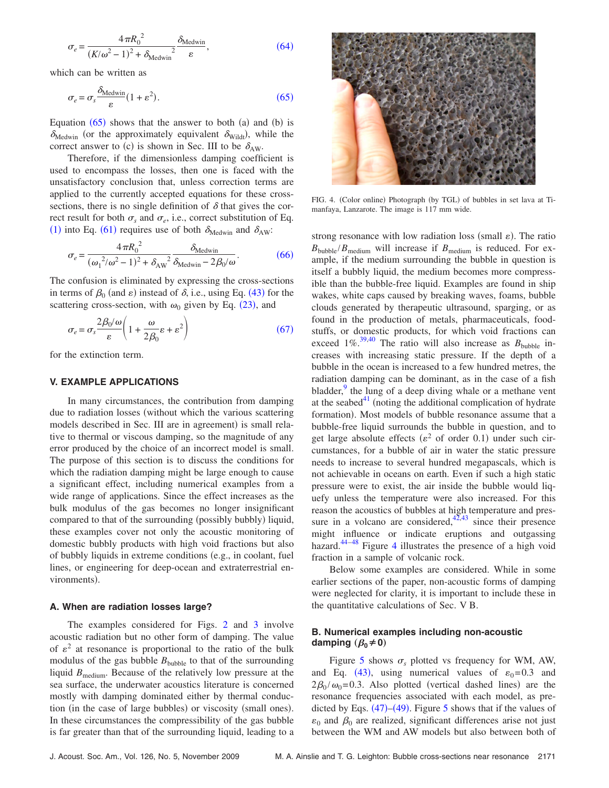<span id="page-8-1"></span>
$$
\sigma_e = \frac{4\pi R_0^2}{(K/\omega^2 - 1)^2 + \delta_{\text{Medwin}}^2} \frac{\delta_{\text{Medwin}}}{\varepsilon},\tag{64}
$$

<span id="page-8-2"></span>which can be written as

$$
\sigma_e = \sigma_s \frac{\delta_{\text{Medwin}}}{\varepsilon} (1 + \varepsilon^2). \tag{65}
$$

Equation  $(65)$  $(65)$  $(65)$  shows that the answer to both  $(a)$  and  $(b)$  is  $\delta_{\text{Medwin}}$  (or the approximately equivalent  $\delta_{\text{Width}}$ ), while the correct answer to (c) is shown in Sec. III to be  $\delta_{AW}$ .

Therefore, if the dimensionless damping coefficient is used to encompass the losses, then one is faced with the unsatisfactory conclusion that, unless correction terms are applied to the currently accepted equations for these crosssections, there is no single definition of  $\delta$  that gives the correct result for both  $\sigma_s$  and  $\sigma_e$ , i.e., correct substitution of Eq. ([1](#page-0-0)) into Eq. ([61](#page-7-1)) requires use of both  $\delta_{\text{Medwin}}$  and  $\delta_{\text{AW}}$ :

<span id="page-8-3"></span>
$$
\sigma_e = \frac{4\pi R_0^2}{(\omega_1^2/\omega^2 - 1)^2 + \delta_{\text{AW}}^2} \frac{\delta_{\text{Medwin}}}{\delta_{\text{Medwin}} - 2\beta_0/\omega}.
$$
 (66)

The confusion is eliminated by expressing the cross-sections in terms of  $\beta_0$  (and  $\varepsilon$ ) instead of  $\delta$ , i.e., using Eq. ([43](#page-5-0)) for the scattering cross-section, with  $\omega_0$  given by Eq. ([23](#page-3-1)), and

<span id="page-8-0"></span>
$$
\sigma_e = \sigma_s \frac{2\beta_0/\omega}{\varepsilon} \left( 1 + \frac{\omega}{2\beta_0} \varepsilon + \varepsilon^2 \right) \tag{67}
$$

for the extinction term.

#### **V. EXAMPLE APPLICATIONS**

In many circumstances, the contribution from damping due to radiation losses (without which the various scattering models described in Sec. III are in agreement) is small relative to thermal or viscous damping, so the magnitude of any error produced by the choice of an incorrect model is small. The purpose of this section is to discuss the conditions for which the radiation damping might be large enough to cause a significant effect, including numerical examples from a wide range of applications. Since the effect increases as the bulk modulus of the gas becomes no longer insignificant compared to that of the surrounding (possibly bubbly) liquid, these examples cover not only the acoustic monitoring of domestic bubbly products with high void fractions but also of bubbly liquids in extreme conditions (e.g., in coolant, fuel lines, or engineering for deep-ocean and extraterrestrial environments).

#### **A. When are radiation losses large?**

The examples considered for Figs. [2](#page-6-2) and [3](#page-6-4) involve acoustic radiation but no other form of damping. The value of  $\varepsilon^2$  at resonance is proportional to the ratio of the bulk modulus of the gas bubble  $B_{\text{bubble}}$  to that of the surrounding liquid *B*<sub>medium</sub>. Because of the relatively low pressure at the sea surface, the underwater acoustics literature is concerned mostly with damping dominated either by thermal conduction (in the case of large bubbles) or viscosity (small ones). In these circumstances the compressibility of the gas bubble is far greater than that of the surrounding liquid, leading to a

<span id="page-8-4"></span>

FIG. 4. (Color online) Photograph (by TGL) of bubbles in set lava at Timanfaya, Lanzarote. The image is 117 mm wide.

strong resonance with low radiation loss (small  $\varepsilon$ ). The ratio  $B_{\text{bubble}}/B_{\text{medium}}$  will increase if  $B_{\text{medium}}$  is reduced. For example, if the medium surrounding the bubble in question is itself a bubbly liquid, the medium becomes more compressible than the bubble-free liquid. Examples are found in ship wakes, white caps caused by breaking waves, foams, bubble clouds generated by therapeutic ultrasound, sparging, or as found in the production of metals, pharmaceuticals, foodstuffs, or domestic products, for which void fractions can exceed  $1\%$ <sup>39,[40](#page-11-37)</sup> The ratio will also increase as  $B_{\text{bubble}}$  increases with increasing static pressure. If the depth of a bubble in the ocean is increased to a few hundred metres, the radiation damping can be dominant, as in the case of a fish bladder, $9$  the lung of a deep diving whale or a methane vent at the seabed $41$  (noting the additional complication of hydrate formation). Most models of bubble resonance assume that a bubble-free liquid surrounds the bubble in question, and to get large absolute effects ( $\varepsilon^2$  of order 0.1) under such circumstances, for a bubble of air in water the static pressure needs to increase to several hundred megapascals, which is not achievable in oceans on earth. Even if such a high static pressure were to exist, the air inside the bubble would liquefy unless the temperature were also increased. For this reason the acoustics of bubbles at high temperature and pressure in a volcano are considered, $42,43$  $42,43$  since their presence might influence or indicate eruptions and outgassing hazard. $44-48$  $44-48$  Figure [4](#page-8-4) illustrates the presence of a high void fraction in a sample of volcanic rock.

Below some examples are considered. While in some earlier sections of the paper, non-acoustic forms of damping were neglected for clarity, it is important to include these in the quantitative calculations of Sec. V B.

## **B. Numerical examples including non-acoustic damping**  $(\beta_0 \neq 0)$

Figure [5](#page-9-0) shows  $\sigma_s$  plotted vs frequency for WM, AW, and Eq. ([43](#page-5-0)), using numerical values of  $\varepsilon_0=0.3$  and  $2\beta_0/\omega_0$ =0.3. Also plotted (vertical dashed lines) are the resonance frequencies associated with each model, as predicted by Eqs.  $(47)$  $(47)$  $(47)$ – $(49)$  $(49)$  $(49)$ . Figure [5](#page-9-0) shows that if the values of  $\varepsilon_0$  and  $\beta_0$  are realized, significant differences arise not just between the WM and AW models but also between both of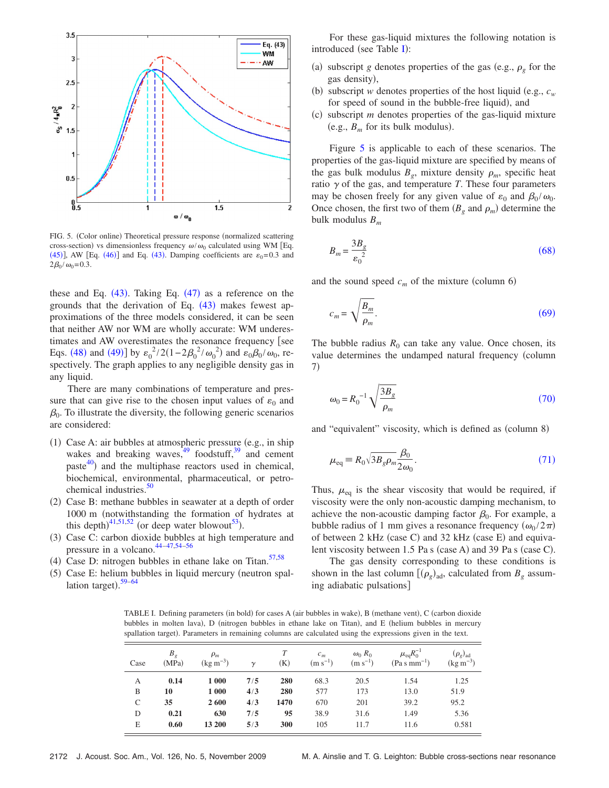<span id="page-9-0"></span>

FIG. 5. (Color online) Theoretical pressure response (normalized scattering cross-section) vs dimensionless frequency  $\omega/\omega_0$  calculated using WM [Eq. ([45](#page-5-6))], AW [Eq. ([46](#page-5-7))] and Eq. ([43](#page-5-0)). Damping coefficients are  $\varepsilon_0$ =0.3 and  $2\beta_0 / \omega_0 = 0.3$ .

these and Eq.  $(43)$  $(43)$  $(43)$ . Taking Eq.  $(47)$  $(47)$  $(47)$  as a reference on the grounds that the derivation of Eq.  $(43)$  $(43)$  $(43)$  makes fewest approximations of the three models considered, it can be seen that neither AW nor WM are wholly accurate: WM underestimates and AW overestimates the resonance frequency [see Eqs. ([48](#page-5-8)) and ([49](#page-5-9))] by  $\varepsilon_0^2/2(1-2\beta_0^2/\omega_0^2)$  and  $\varepsilon_0\beta_0/\omega_0$ , respectively. The graph applies to any negligible density gas in any liquid.

There are many combinations of temperature and pressure that can give rise to the chosen input values of  $\varepsilon_0$  and  $\beta_0$ . To illustrate the diversity, the following generic scenarios are considered:

- (1) Case A: air bubbles at atmospheric pressure (e.g., in ship wakes and breaking waves,  $49 \text{ foodstuff}$ , and cement paste $^{40}$ ) and the multiphase reactors used in chemical, biochemical, environmental, pharmaceutical, or petrochemical industries. $50$
- (2) Case B: methane bubbles in seawater at a depth of order 1000 m (notwithstanding the formation of hydrates at this depth)<sup>[41,](#page-11-38)[51](#page-11-45)[,52](#page-11-46)</sup> (or deep water blowout<sup>53</sup>).
- (3) Case C: carbon dioxide bubbles at high temperature and pressure in a volcano.<sup>44-47[,54](#page-11-49)-56</sup>
- (4) Case D: nitrogen bubbles in ethane lake on Titan.<sup>57[,58](#page-12-2)</sup>
- <span id="page-9-1"></span>(5) Case E: helium bubbles in liquid mercury (neutron spal-lation target).<sup>[59–](#page-12-3)[64](#page-12-4)</sup>

For these gas-liquid mixtures the following notation is introduced (see Table [I](#page-9-1)):

- (a) subscript *g* denotes properties of the gas (e.g.,  $\rho_g$  for the gas density),
- (b) subscript *w* denotes properties of the host liquid (e.g.,  $c_w$ for speed of sound in the bubble-free liquid), and
- $(c)$ subscript *m* denotes properties of the gas-liquid mixture (e.g.,  $B_m$  for its bulk modulus).

Figure [5](#page-9-0) is applicable to each of these scenarios. The properties of the gas-liquid mixture are specified by means of the gas bulk modulus  $B_g$ , mixture density  $\rho_m$ , specific heat ratio  $\gamma$  of the gas, and temperature *T*. These four parameters may be chosen freely for any given value of  $\varepsilon_0$  and  $\beta_0 / \omega_0$ . Once chosen, the first two of them  $(B_g \text{ and } \rho_m)$  determine the bulk modulus *Bm*

<span id="page-9-2"></span>
$$
B_m = \frac{3B_g}{\varepsilon_0^2} \tag{68}
$$

<span id="page-9-3"></span>and the sound speed  $c_m$  of the mixture (column 6)

$$
c_m = \sqrt{\frac{B_m}{\rho_m}}.\tag{69}
$$

The bubble radius  $R_0$  can take any value. Once chosen, its value determines the undamped natural frequency (column 7-

<span id="page-9-4"></span>
$$
\omega_0 = R_0^{-1} \sqrt{\frac{3B_g}{\rho_m}}
$$
\n(70)

<span id="page-9-5"></span>and "equivalent" viscosity, which is defined as (column 8)

$$
\mu_{\text{eq}} \equiv R_0 \sqrt{3B_g \rho_m} \frac{\beta_0}{2\omega_0}.
$$
\n(71)

Thus,  $\mu_{eq}$  is the shear viscosity that would be required, if viscosity were the only non-acoustic damping mechanism, to achieve the non-acoustic damping factor  $\beta_0$ . For example, a bubble radius of 1 mm gives a resonance frequency  $(\omega_0 / 2\pi)$ of between 2 kHz (case C) and 32 kHz (case E) and equivalent viscosity between 1.5 Pa s (case A) and 39 Pa s (case C).

The gas density corresponding to these conditions is shown in the last column  $[(\rho_g)_{ad}$ , calculated from  $B_g$  assuming adiabatic pulsations

TABLE I. Defining parameters (in bold) for cases A (air bubbles in wake), B (methane vent), C (carbon dioxide bubbles in molten lava), D (nitrogen bubbles in ethane lake on Titan), and E (helium bubbles in mercury spallation target). Parameters in remaining columns are calculated using the expressions given in the text.

| Case | $B_{g}$<br>(MPa) | $\rho_m$<br>$(\text{kg m}^{-3})$ | $\gamma$ | (K)  | $c_m$<br>$(m s^{-1})$ | $\omega_0 R_0$<br>$(m s^{-1})$ | $\mu_{eq}R_0^{-1}$<br>$(Pa s mm^{-1})$ | $(\rho_g)_{ad}$<br>$(\text{kg m}^{-3})$ |
|------|------------------|----------------------------------|----------|------|-----------------------|--------------------------------|----------------------------------------|-----------------------------------------|
| А    | 0.14             | 1 000                            | 7/5      | 280  | 68.3                  | 20.5                           | 1.54                                   | 1.25                                    |
| B    | 10               | 1 000                            | 4/3      | 280  | 577                   | 173                            | 13.0                                   | 51.9                                    |
| C    | 35               | 2600                             | 4/3      | 1470 | 670                   | 201                            | 39.2                                   | 95.2                                    |
| D    | 0.21             | 630                              | 7/5      | 95   | 38.9                  | 31.6                           | 1.49                                   | 5.36                                    |
| E    | 0.60             | 13 200                           | 5/3      | 300  | 105                   | 11.7                           | 11.6                                   | 0.581                                   |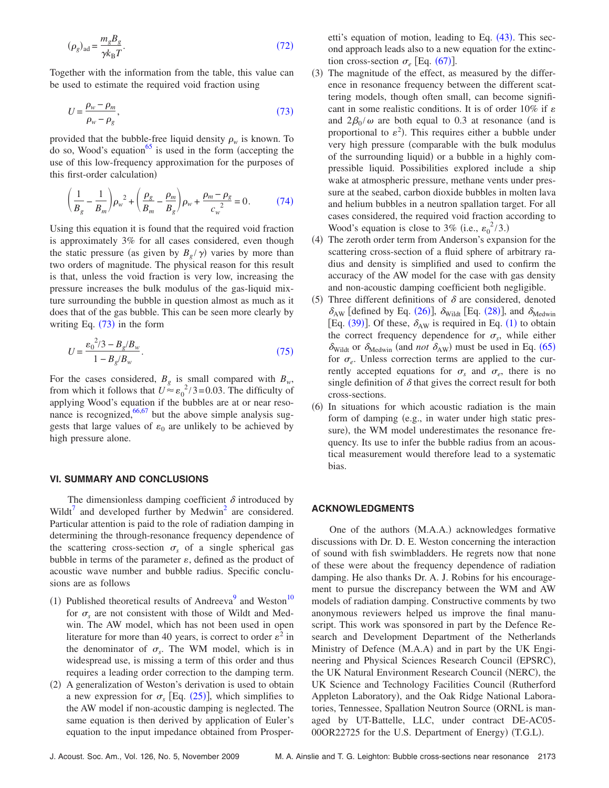<span id="page-10-0"></span>
$$
(\rho_g)_{\text{ad}} = \frac{m_g B_g}{\gamma k_\text{B} T}.\tag{72}
$$

Together with the information from the table, this value can be used to estimate the required void fraction using

<span id="page-10-1"></span>
$$
U = \frac{\rho_w - \rho_m}{\rho_w - \rho_g},\tag{73}
$$

provided that the bubble-free liquid density  $\rho_w$  is known. To do so, Wood's equation<sup>65</sup> is used in the form (accepting the use of this low-frequency approximation for the purposes of this first-order calculation)

<span id="page-10-2"></span>
$$
\left(\frac{1}{B_g} - \frac{1}{B_m}\right)\rho_w^2 + \left(\frac{\rho_g}{B_m} - \frac{\rho_m}{B_g}\right)\rho_w + \frac{\rho_m - \rho_g}{c_w^2} = 0.
$$
 (74)

Using this equation it is found that the required void fraction is approximately 3% for all cases considered, even though the static pressure (as given by  $B_g / \gamma$ ) varies by more than two orders of magnitude. The physical reason for this result is that, unless the void fraction is very low, increasing the pressure increases the bulk modulus of the gas-liquid mixture surrounding the bubble in question almost as much as it does that of the gas bubble. This can be seen more clearly by writing Eq.  $(73)$  $(73)$  $(73)$  in the form

<span id="page-10-3"></span>
$$
U = \frac{{\epsilon_0}^2 / 3 - B_g / B_w}{1 - B_g / B_w}.
$$
\n(75)

For the cases considered,  $B_g$  is small compared with  $B_w$ , from which it follows that  $U \approx \epsilon_0^2 / 3 = 0.03$ . The difficulty of applying Wood's equation if the bubbles are at or near resonance is recognized,  $66,67$  $66,67$  but the above simple analysis suggests that large values of  $\varepsilon_0$  are unlikely to be achieved by high pressure alone.

#### **VI. SUMMARY AND CONCLUSIONS**

The dimensionless damping coefficient  $\delta$  introduced by Wildt<sup>7</sup> and developed further by Medwin<sup>2</sup> are considered. Particular attention is paid to the role of radiation damping in determining the through-resonance frequency dependence of the scattering cross-section  $\sigma_s$  of a single spherical gas bubble in terms of the parameter  $\varepsilon$ , defined as the product of acoustic wave number and bubble radius. Specific conclusions are as follows

- (1) Published theoretical results of Andreeva<sup>9</sup> and Weston<sup>10</sup> for  $\sigma_s$  are not consistent with those of Wildt and Medwin. The AW model, which has not been used in open literature for more than 40 years, is correct to order  $\varepsilon^2$  in the denominator of  $\sigma_s$ . The WM model, which is in widespread use, is missing a term of this order and thus requires a leading order correction to the damping term.
- (2) A generalization of Weston's derivation is used to obtain a new expression for  $\sigma_s$  [Eq. ([25](#page-3-0))], which simplifies to the AW model if non-acoustic damping is neglected. The same equation is then derived by application of Euler's equation to the input impedance obtained from Prosper-

etti's equation of motion, leading to Eq. ([43](#page-5-0)). This second approach leads also to a new equation for the extinction cross-section  $\sigma_e$  [Eq. ([67](#page-8-0))].

- (3) The magnitude of the effect, as measured by the difference in resonance frequency between the different scattering models, though often small, can become significant in some realistic conditions. It is of order 10% if  $\varepsilon$ and  $2\beta_0/\omega$  are both equal to 0.3 at resonance (and is proportional to  $\varepsilon^2$ ). This requires either a bubble under very high pressure (comparable with the bulk modulus of the surrounding liquid) or a bubble in a highly compressible liquid. Possibilities explored include a ship wake at atmospheric pressure, methane vents under pressure at the seabed, carbon dioxide bubbles in molten lava and helium bubbles in a neutron spallation target. For all cases considered, the required void fraction according to Wood's equation is close to 3% (i.e.,  $\varepsilon_0^2/3$ .)
- (4) The zeroth order term from Anderson's expansion for the scattering cross-section of a fluid sphere of arbitrary radius and density is simplified and used to confirm the accuracy of the AW model for the case with gas density and non-acoustic damping coefficient both negligible.
- (5) Three different definitions of  $\delta$  are considered, denoted  $\delta_{AW}$  [defined by Eq. ([26](#page-3-11))],  $\delta_{Width}$  [Eq. ([28](#page-4-0))], and  $\delta_{Median}$ [Eq. ([39](#page-4-11))]. Of these,  $\delta_{AW}$  is required in Eq. ([1](#page-0-0)) to obtain the correct frequency dependence for  $\sigma_s$ , while either  $\delta_{\text{Width}}$  or  $\delta_{\text{Median}}$  (and *not*  $\delta_{\text{AW}}$ ) must be used in Eq. ([65](#page-8-2)) for  $\sigma_e$ . Unless correction terms are applied to the currently accepted equations for  $\sigma_s$  and  $\sigma_e$ , there is no single definition of  $\delta$  that gives the correct result for both cross-sections.
- (6) In situations for which acoustic radiation is the main form of damping (e.g., in water under high static pressure), the WM model underestimates the resonance frequency. Its use to infer the bubble radius from an acoustical measurement would therefore lead to a systematic bias.

### **ACKNOWLEDGMENTS**

One of the authors (M.A.A.) acknowledges formative discussions with Dr. D. E. Weston concerning the interaction of sound with fish swimbladders. He regrets now that none of these were about the frequency dependence of radiation damping. He also thanks Dr. A. J. Robins for his encouragement to pursue the discrepancy between the WM and AW models of radiation damping. Constructive comments by two anonymous reviewers helped us improve the final manuscript. This work was sponsored in part by the Defence Research and Development Department of the Netherlands Ministry of Defence (M.A.A) and in part by the UK Engineering and Physical Sciences Research Council (EPSRC), the UK Natural Environment Research Council (NERC), the UK Science and Technology Facilities Council (Rutherford Appleton Laboratory), and the Oak Ridge National Laboratories, Tennessee, Spallation Neutron Source ORNL is managed by UT-Battelle, LLC, under contract DE-AC05- 00OR22725 for the U.S. Department of Energy) (T.G.L).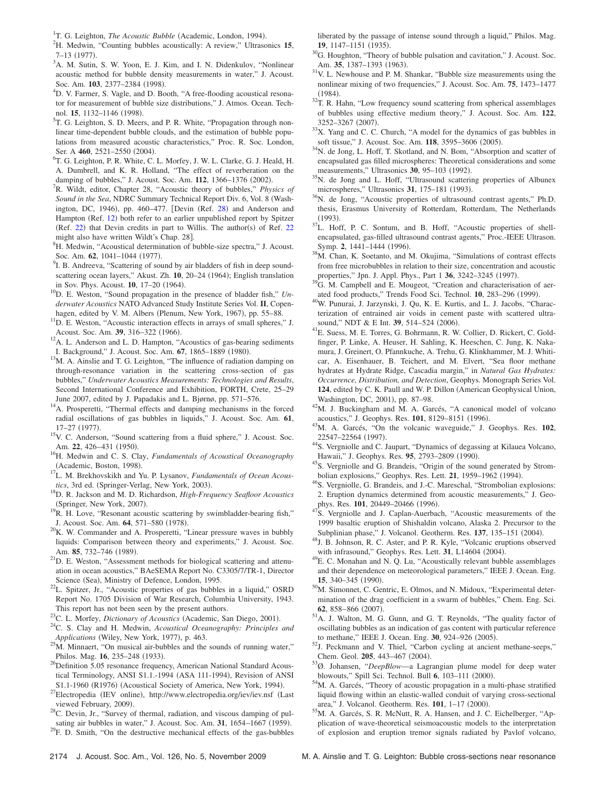<span id="page-11-0"></span><sup>1</sup>T. G. Leighton, *The Acoustic Bubble* (Academic, London, 1994).

<span id="page-11-1"></span>H. Medwin, "Counting bubbles acoustically: A review," Ultrasonics **15**,  $7-13$  (1977).

- <sup>3</sup>A. M. Sutin, S. W. Yoon, E. J. Kim, and I. N. Didenkulov, "Nonlinear acoustic method for bubble density measurements in water," J. Acoust. Soc. Am. **103**, 2377–2384 (1998).
- <sup>4</sup>D. V. Farmer, S. Vagle, and D. Booth, "A free-flooding acoustical resonator for measurement of bubble size distributions," J. Atmos. Ocean. Technol. **15**, 1132–1146 (1998).
- <span id="page-11-2"></span><sup>3</sup>T. G. Leighton, S. D. Meers, and P. R. White, "Propagation through nonlinear time-dependent bubble clouds, and the estimation of bubble populations from measured acoustic characteristics," Proc. R. Soc. London, Ser. A 460, 2521–2550 (2004).
- <span id="page-11-3"></span><sup>6</sup>T. G. Leighton, P. R. White, C. L. Morfey, J. W. L. Clarke, G. J. Heald, H. A. Dumbrell, and K. R. Holland, "The effect of reverberation on the damping of bubbles," J. Acoust. Soc. Am.  $112$ ,  $1366-1376$  (2002).<br><sup>7</sup>P. Wildt, editor, Chapter 28, "Acoustic thoory of bubbles", *Phys*
- <span id="page-11-4"></span>R. Wildt, editor, Chapter 28, "Acoustic theory of bubbles," *Physics of Sound in the Sea*, NDRC Summary Technical Report Div. 6, Vol. 8 Wash-ington, DC, 1946), pp. 460-477. [Devin (Ref. [28](#page-11-25)) and Anderson and Hampton (Ref. [12](#page-11-14)) both refer to an earlier unpublished report by Spitzer (Ref. [22](#page-11-18)) that Devin credits in part to Willis. The author(s) of Ref. 22 might also have written Wildt's Chap. 28].
- <span id="page-11-5"></span><sup>8</sup>H. Medwin, "Acoustical determination of bubble-size spectra," J. Acoust. Soc. Am. **62**, 1041–1044 (1977).
- <span id="page-11-6"></span><sup>9</sup>I. B. Andreeva, "Scattering of sound by air bladders of fish in deep soundscattering ocean layers," Akust. Zh. 10, 20-24 (1964); English translation in Sov. Phys. Acoust. **10**, 17-20 (1964).
- <span id="page-11-7"></span><sup>10</sup>D. E. Weston, "Sound propagation in the presence of bladder fish," Un*derwater Acoustics* NATO Advanced Study Institute Series Vol. **II**, Copenhagen, edited by V. M. Albers (Plenum, New York, 1967), pp. 55-88.
- <span id="page-11-8"></span> $11$ D. E. Weston, "Acoustic interaction effects in arrays of small spheres," J. Acoust. Soc. Am. 39, 316-322 (1966).
- <span id="page-11-14"></span><sup>12</sup>A. L. Anderson and L. D. Hampton, "Acoustics of gas-bearing sediments I. Background," J. Acoust. Soc. Am. 67, 1865–1889 (1980).
- <span id="page-11-9"></span><sup>13</sup>M. A. Ainslie and T. G. Leighton, "The influence of radiation damping on through-resonance variation in the scattering cross-section of gas bubbles," *Underwater Acoustics Measurements: Technologies and Results*, Second International Conference and Exhibition, FORTH, Crete, 25–29 June 2007, edited by J. Papadakis and L. Bjørnø, pp. 571–576.
- <span id="page-11-10"></span>14A. Prosperetti, "Thermal effects and damping mechanisms in the forced radial oscillations of gas bubbles in liquids," J. Acoust. Soc. Am. **61**, 17-27 (1977).
- <span id="page-11-11"></span><sup>15</sup>V. C. Anderson, "Sound scattering from a fluid sphere," J. Acoust. Soc. Am. 22, 426-431 (1950).
- <span id="page-11-12"></span>. 16H. Medwin and C. S. Clay, *Fundamentals of Acoustical Oceanography* (Academic, Boston, 1998).
- <span id="page-11-20"></span><sup>17</sup>L. M. Brekhovskikh and Yu. P. Lysanov, *Fundamentals of Ocean Acous*tics, 3rd ed. (Springer-Verlag, New York, 2003).
- <span id="page-11-13"></span>. 18D. R. Jackson and M. D. Richardson, *High-Frequency Seafloor Acoustics* (Springer, New York, 2007).
- <span id="page-11-15"></span> $^{19}R$ . H. Love, "Resonant acoustic scattering by swimbladder-bearing fish," J. Acoust. Soc. Am. 64, 571-580 (1978).
- <span id="page-11-16"></span> $20$ K. W. Commander and A. Prosperetti, "Linear pressure waves in bubbly liquids: Comparison between theory and experiments," J. Acoust. Soc. Am. 85, 732-746 (1989).
- <span id="page-11-17"></span> $^{21}$ D. E. Weston, "Assessment methods for biological scattering and attenuation in ocean acoustics," BAeSEMA Report No. C3305/7/TR-1, Director Science (Sea), Ministry of Defence, London, 1995.
- <span id="page-11-18"></span><sup>22</sup>L. Spitzer, Jr., "Acoustic properties of gas bubbles in a liquid," OSRD Report No. 1705 Division of War Research, Columbia University, 1943. This report has not been seen by the present authors.
- <span id="page-11-19"></span><sup>23</sup>C. L. Morfey, *Dictionary of Acoustics* (Academic, San Diego, 2001).
- <span id="page-11-21"></span>. 24C. S. Clay and H. Medwin, *Acoustical Oceanography: Principles and Applications* (Wiley, New York, 1977), p. 463.
- <span id="page-11-22"></span> $^{25}$ M. Minnaert, "On musical air-bubbles and the sounds of running water," Philos. Mag. 16, 235-248 (1933).
- <span id="page-11-23"></span><sup>26</sup>Definition 5.05 resonance frequency, American National Standard Acoustical Terminology, ANSI S1.1.-1994 (ASA 111-1994), Revision of ANSI S1.1-1960 (R1976) (Acoustical Society of America, New York, 1994)
- <span id="page-11-24"></span>S1.1-1960 (R1976) (Acoustical Society of America, New York, 1994).<br><sup>27</sup>Electropedia (IEV online), http://www.electropedia.org/iev/iev.nsf (Last viewed February, 2009).
- <span id="page-11-25"></span><sup>28</sup>C. Devin, Jr., "Survey of thermal, radiation, and viscous damping of pulsating air bubbles in water," J. Acoust. Soc. Am. 31, 1654–1667 (1959).
- <span id="page-11-26"></span> $2^{9}$ F. D. Smith, "On the destructive mechanical effects of the gas-bubbles

liberated by the passage of intense sound through a liquid," Philos. Mag. **19**, 1147–1151 (1935).

- <span id="page-11-27"></span> $^{30}$ G. Houghton, "Theory of bubble pulsation and cavitation," J. Acoust. Soc. Am. 35, 1387-1393 (1963).
- <span id="page-11-28"></span> $31$ V. L. Newhouse and P. M. Shankar, "Bubble size measurements using the nonlinear mixing of two frequencies," J. Acoust. Soc. Am. **75**, 1473–1477  $(1984).$
- <span id="page-11-29"></span><sup>32</sup>T. R. Hahn, "Low frequency sound scattering from spherical assemblages of bubbles using effective medium theory," J. Acoust. Soc. Am. **122**, 3252-3267 (2007).
- <span id="page-11-30"></span> $33X$ . Yang and C. C. Church, "A model for the dynamics of gas bubbles in soft tissue," J. Acoust. Soc. Am. **118**, 3595-3606 (2005).
- <span id="page-11-31"></span><sup>34</sup>N. de Jong, L. Hoff, T. Skotland, and N. Bom, "Absorption and scatter of encapsulated gas filled microspheres: Theoretical considerations and some measurements," Ultrasonics 30, 95-103 (1992).
- <span id="page-11-32"></span><sup>35</sup>N. de Jong and L. Hoff, "Ultrasound scattering properties of Albunex microspheres," Ultrasonics 31, 175-181 (1993).
- <span id="page-11-33"></span><sup>36</sup>N. de Jong, "Acoustic properties of ultrasound contrast agents," Ph.D. thesis, Erasmus University of Rotterdam, Rotterdam, The Netherlands  $(1993).$
- <span id="page-11-34"></span><sup>37</sup>L. Hoff, P. C. Sontum, and B. Hoff, "Acoustic properties of shellencapsulated, gas-filled ultrasound contrast agents," Proc.-IEEE Ultrason. Symp. 2, 1441-1444 (1996).
- <span id="page-11-35"></span><sup>38</sup>M. Chan, K. Soetanto, and M. Okujima, "Simulations of contrast effects from free microbubbles in relation to their size, concentration and acoustic properties," Jpn. J. Appl. Phys., Part 1 **36**, 3242–3245 (1997).
- <span id="page-11-36"></span><sup>39</sup>G. M. Campbell and E. Mougeot, "Creation and characterisation of aerated food products," Trends Food Sci. Technol. **10**, 283-296 (1999).
- <span id="page-11-37"></span>. 40W. Punurai, J. Jarzynski, J. Qu, K. E. Kurtis, and L. J. Jacobs, "Characterization of entrained air voids in cement paste with scattered ultrasound," NDT & E Int. 39, 514-524 (2006).
- <span id="page-11-38"></span><sup>41</sup>E. Suess, M. E. Torres, G. Bohrmann, R. W. Collier, D. Rickert, C. Goldfinger, P. Linke, A. Heuser, H. Sahling, K. Heeschen, C. Jung, K. Nakamura, J. Greinert, O. Pfannkuche, A. Trehu, G. Klinkhammer, M. J. Whiticar, A. Eisenhauer, B. Teichert, and M. Elvert, "Sea floor methane hydrates at Hydrate Ridge, Cascadia margin," in *Natural Gas Hydrates: Occurrence, Distribution, and Detection*, Geophys. Monograph Series Vol. 124, edited by C. K. Paull and W. P. Dillon (American Geophysical Union, Washington, DC, 2001), pp. 87-98.
- <span id="page-11-39"></span> $^{42}$ M. J. Buckingham and M. A. Garcés, "A canonical model of volcano acoustics," J. Geophys. Res. 101, 8129-8151 (1996).
- <span id="page-11-40"></span>. 43M. A. Garcés, "On the volcanic waveguide," J. Geophys. Res. **<sup>102</sup>**, 22547-22564 (1997).
- <span id="page-11-41"></span><sup>44</sup>S. Vergniolle and C. Jaupart, "Dynamics of degassing at Kilauea Volcano, Hawaii," J. Geophys. Res. 95, 2793-2809 (1990).
- <sup>45</sup>S. Vergniolle and G. Brandeis, "Origin of the sound generated by Strombolian explosions," Geophys. Res. Lett. 21, 1959-1962 (1994).
- <sup>46</sup>S. Vergniolle, G. Brandeis, and J.-C. Mareschal, "Strombolian explosions: 2. Eruption dynamics determined from acoustic measurements," J. Geophys. Res. 101, 20449-20466 (1996).
- <span id="page-11-48"></span> $47S$ . Vergniolle and J. Caplan-Auerbach, "Acoustic measurements of the 1999 basaltic eruption of Shishaldin volcano, Alaska 2. Precursor to the Subplinian phase," J. Volcanol. Geotherm. Res. 137, 135-151 (2004).
- <span id="page-11-42"></span><sup>48</sup>J. B. Johnson, R. C. Aster, and P. R. Kyle, "Volcanic eruptions observed with infrasound," Geophys. Res. Lett. 31, L14604 (2004).
- <span id="page-11-43"></span> $^{49}$ E. C. Monahan and N. Q. Lu, "Acoustically relevant bubble assemblages and their dependence on meteorological parameters," IEEE J. Ocean. Eng. **15**, 340–345 (1990).
- <span id="page-11-44"></span><sup>50</sup>M. Simonnet, C. Gentric, E. Olmos, and N. Midoux, "Experimental determination of the drag coefficient in a swarm of bubbles," Chem. Eng. Sci. **62**, 858–866 (2007).
- <span id="page-11-45"></span>. 51A. J. Walton, M. G. Gunn, and G. T. Reynolds, "The quality factor of oscillating bubbles as an indication of gas content with particular reference to methane," IEEE J. Ocean. Eng. 30, 924-926 (2005).
- <span id="page-11-46"></span><sup>52</sup>J. Peckmann and V. Thiel, "Carbon cycling at ancient methane-seeps," Chem. Geol. 205, 443-467 (2004).
- <span id="page-11-47"></span>. 53Ø. Johansen, "*DeepBlow*—a Lagrangian plume model for deep water blowouts," Spill Sci. Technol. Bull 6, 103-111 (2000).
- <span id="page-11-49"></span>. 54M. A. Garcés, "Theory of acoustic propagation in a multi-phase stratified liquid flowing within an elastic-walled conduit of varying cross-sectional area," J. Volcanol. Geotherm. Res. 101, 1-17 (2000).
- <sup>55</sup>M. A. Garcés, S. R. McNutt, R. A. Hansen, and J. C. Eichelberger, "Application of wave-theoretical seismoacoustic models to the interpretation of explosion and eruption tremor signals radiated by Pavlof volcano,